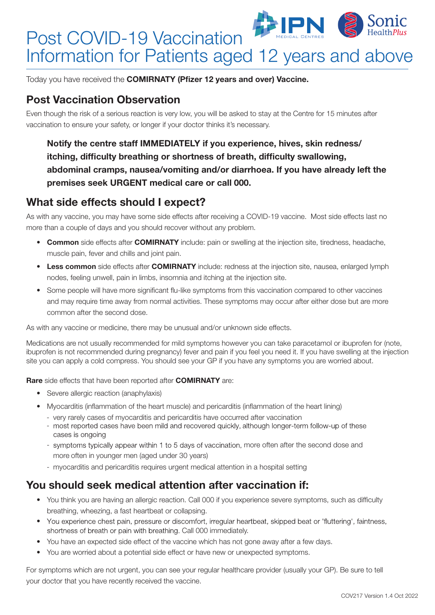## Sonic Post COVID-19 Vaccination Information for Patients aged 12 years and above

Today you have received the **COMIRNATY (Pfizer 12 years and over) Vaccine.** 

#### Post Vaccination Observation

Even though the risk of a serious reaction is very low, you will be asked to stay at the Centre for 15 minutes after vaccination to ensure your safety, or longer if your doctor thinks it's necessary.

Notify the centre staff IMMEDIATELY if you experience, hives, skin redness/ itching, difficulty breathing or shortness of breath, difficulty swallowing, abdominal cramps, nausea/vomiting and/or diarrhoea. If you have already left the premises seek URGENT medical care or call 000.

#### What side effects should I expect?

As with any vaccine, you may have some side effects after receiving a COVID-19 vaccine. Most side effects last no more than a couple of days and you should recover without any problem.

- Common side effects after COMIRNATY include: pain or swelling at the injection site, tiredness, headache, muscle pain, fever and chills and joint pain.
- Less common side effects after COMIRNATY include: redness at the injection site, nausea, enlarged lymph nodes, feeling unwell, pain in limbs, insomnia and itching at the injection site.
- Some people will have more significant flu-like symptoms from this vaccination compared to other vaccines and may require time away from normal activities. These symptoms may occur after either dose but are more common after the second dose.

As with any vaccine or medicine, there may be unusual and/or unknown side effects.

Medications are not usually recommended for mild symptoms however you can take paracetamol or ibuprofen for (note, ibuprofen is not recommended during pregnancy) fever and pain if you feel you need it. If you have swelling at the injection site you can apply a cold compress. You should see your GP if you have any symptoms you are worried about.

#### Rare side effects that have been reported after **COMIRNATY** are:

- Severe allergic reaction (anaphylaxis)
- Myocarditis (inflammation of the heart muscle) and pericarditis (inflammation of the heart lining)
	- very rarely cases of myocarditis and pericarditis have occurred after vaccination
	- most reported cases have been mild and recovered quickly, although longer-term follow-up of these cases is ongoing
	- symptoms typically appear within 1 to 5 days of vaccination, more often after the second dose and more often in younger men (aged under 30 years)
	- myocarditis and pericarditis requires urgent medical attention in a hospital setting

#### You should seek medical attention after vaccination if:

- You think you are having an allergic reaction. Call 000 if you experience severe symptoms, such as difficulty breathing, wheezing, a fast heartbeat or collapsing.
- You experience chest pain, pressure or discomfort, irregular heartbeat, skipped beat or 'fluttering', faintness, shortness of breath or pain with breathing. Call 000 immediately.
- You have an expected side effect of the vaccine which has not gone away after a few days.
- You are worried about a potential side effect or have new or unexpected symptoms.

For symptoms which are not urgent, you can see your regular healthcare provider (usually your GP). Be sure to tell your doctor that you have recently received the vaccine.